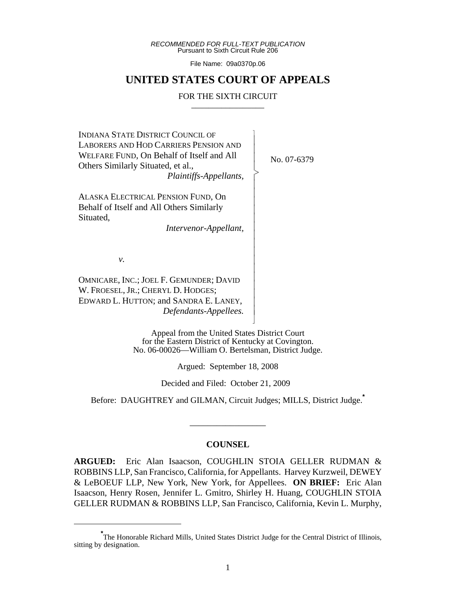*RECOMMENDED FOR FULL-TEXT PUBLICATION* Pursuant to Sixth Circuit Rule 206

File Name: 09a0370p.06

# **UNITED STATES COURT OF APPEALS**

#### FOR THE SIXTH CIRCUIT

 $\overline{\phantom{a}}$ - - - > , - - - - - - - - - - - - - - - - N

INDIANA STATE DISTRICT COUNCIL OF LABORERS AND HOD CARRIERS PENSION AND WELFARE FUND, On Behalf of Itself and All Others Similarly Situated, et al., *Plaintiffs-Appellants,*

ALASKA ELECTRICAL PENSION FUND, On Behalf of Itself and All Others Similarly Situated,

*Intervenor-Appellant,*

No. 07-6379

*v.*

OMNICARE, INC.; JOEL F. GEMUNDER; DAVID W. FROESEL, JR.; CHERYL D. HODGES; EDWARD L. HUTTON; and SANDRA E. LANEY, *Defendants-Appellees.*

> Appeal from the United States District Court for the Eastern District of Kentucky at Covington. No. 06-00026—William O. Bertelsman, District Judge.

> > Argued: September 18, 2008

Decided and Filed: October 21, 2009

Before: DAUGHTREY and GILMAN, Circuit Judges; MILLS, District Judge.**\***

\_\_\_\_\_\_\_\_\_\_\_\_\_\_\_\_\_

#### **COUNSEL**

**ARGUED:** Eric Alan Isaacson, COUGHLIN STOIA GELLER RUDMAN & ROBBINS LLP, San Francisco, California, for Appellants. Harvey Kurzweil, DEWEY & LeBOEUF LLP, New York, New York, for Appellees. **ON BRIEF:** Eric Alan Isaacson, Henry Rosen, Jennifer L. Gmitro, Shirley H. Huang, COUGHLIN STOIA GELLER RUDMAN & ROBBINS LLP, San Francisco, California, Kevin L. Murphy,

<sup>\*&</sup>lt;br>The Honorable Richard Mills, United States District Judge for the Central District of Illinois, sitting by designation.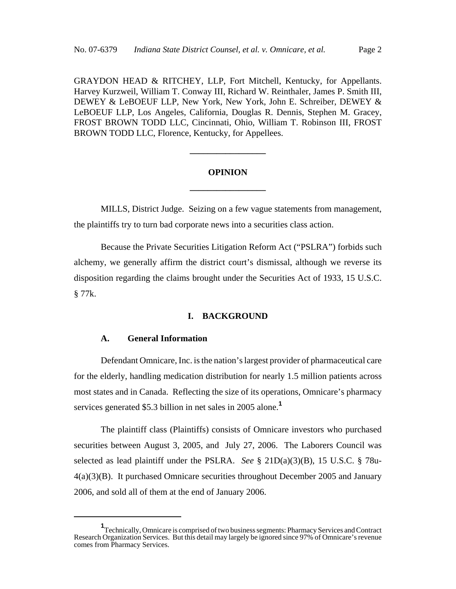GRAYDON HEAD & RITCHEY, LLP, Fort Mitchell, Kentucky, for Appellants. Harvey Kurzweil, William T. Conway III, Richard W. Reinthaler, James P. Smith III, DEWEY & LeBOEUF LLP, New York, New York, John E. Schreiber, DEWEY & LeBOEUF LLP, Los Angeles, California, Douglas R. Dennis, Stephen M. Gracey, FROST BROWN TODD LLC, Cincinnati, Ohio, William T. Robinson III, FROST BROWN TODD LLC, Florence, Kentucky, for Appellees.

# **OPINION \_\_\_\_\_\_\_\_\_\_\_\_\_\_\_\_\_**

**\_\_\_\_\_\_\_\_\_\_\_\_\_\_\_\_\_**

MILLS, District Judge. Seizing on a few vague statements from management, the plaintiffs try to turn bad corporate news into a securities class action.

Because the Private Securities Litigation Reform Act ("PSLRA") forbids such alchemy, we generally affirm the district court's dismissal, although we reverse its disposition regarding the claims brought under the Securities Act of 1933, 15 U.S.C. § 77k.

#### **I. BACKGROUND**

## **A. General Information**

Defendant Omnicare, Inc. is the nation's largest provider of pharmaceutical care for the elderly, handling medication distribution for nearly 1.5 million patients across most states and in Canada. Reflecting the size of its operations, Omnicare's pharmacy services generated \$5.3 billion in net sales in 2005 alone.**<sup>1</sup>**

The plaintiff class (Plaintiffs) consists of Omnicare investors who purchased securities between August 3, 2005, and July 27, 2006. The Laborers Council was selected as lead plaintiff under the PSLRA. *See* § 21D(a)(3)(B), 15 U.S.C. § 78u-4(a)(3)(B). It purchased Omnicare securities throughout December 2005 and January 2006, and sold all of them at the end of January 2006.

**<sup>1</sup>** Technically, Omnicare is comprised of two business segments: Pharmacy Services and Contract Research Organization Services. But this detail may largely be ignored since 97% of Omnicare's revenue comes from Pharmacy Services.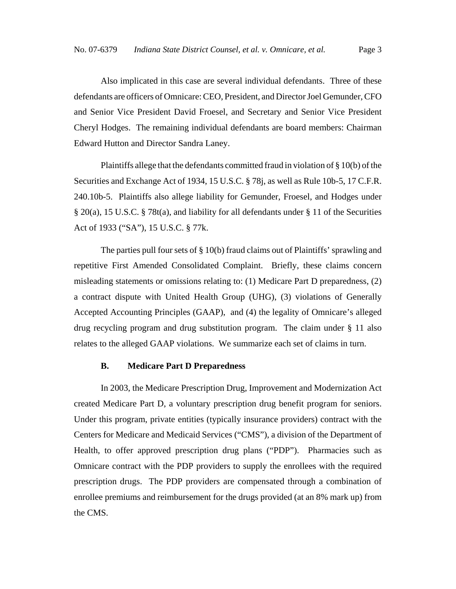Also implicated in this case are several individual defendants. Three of these defendants are officers of Omnicare: CEO, President, and Director Joel Gemunder, CFO and Senior Vice President David Froesel, and Secretary and Senior Vice President Cheryl Hodges. The remaining individual defendants are board members: Chairman Edward Hutton and Director Sandra Laney.

Plaintiffs allege that the defendants committed fraud in violation of § 10(b) of the Securities and Exchange Act of 1934, 15 U.S.C. § 78j, as well as Rule 10b-5, 17 C.F.R. 240.10b-5. Plaintiffs also allege liability for Gemunder, Froesel, and Hodges under § 20(a), 15 U.S.C. § 78t(a), and liability for all defendants under § 11 of the Securities Act of 1933 ("SA"), 15 U.S.C. § 77k.

The parties pull four sets of § 10(b) fraud claims out of Plaintiffs' sprawling and repetitive First Amended Consolidated Complaint. Briefly, these claims concern misleading statements or omissions relating to: (1) Medicare Part D preparedness, (2) a contract dispute with United Health Group (UHG), (3) violations of Generally Accepted Accounting Principles (GAAP), and (4) the legality of Omnicare's alleged drug recycling program and drug substitution program. The claim under § 11 also relates to the alleged GAAP violations. We summarize each set of claims in turn.

## **B. Medicare Part D Preparedness**

In 2003, the Medicare Prescription Drug, Improvement and Modernization Act created Medicare Part D, a voluntary prescription drug benefit program for seniors. Under this program, private entities (typically insurance providers) contract with the Centers for Medicare and Medicaid Services ("CMS"), a division of the Department of Health, to offer approved prescription drug plans ("PDP"). Pharmacies such as Omnicare contract with the PDP providers to supply the enrollees with the required prescription drugs. The PDP providers are compensated through a combination of enrollee premiums and reimbursement for the drugs provided (at an 8% mark up) from the CMS.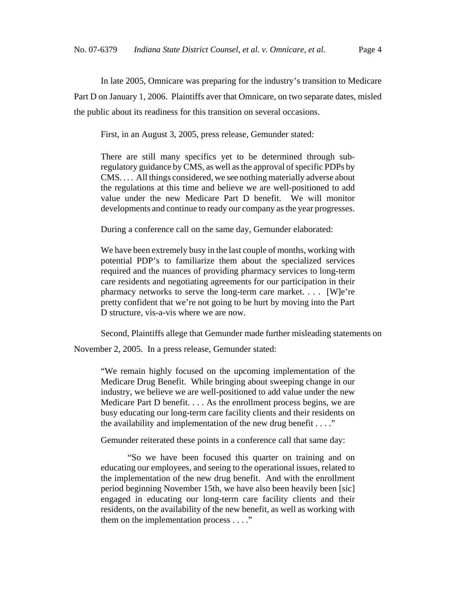In late 2005, Omnicare was preparing for the industry's transition to Medicare Part D on January 1, 2006. Plaintiffs aver that Omnicare, on two separate dates, misled the public about its readiness for this transition on several occasions.

First, in an August 3, 2005, press release, Gemunder stated:

There are still many specifics yet to be determined through subregulatory guidance by CMS, as well as the approval of specific PDPs by CMS. . . . All things considered, we see nothing materially adverse about the regulations at this time and believe we are well-positioned to add value under the new Medicare Part D benefit. We will monitor developments and continue to ready our company as the year progresses.

During a conference call on the same day, Gemunder elaborated:

We have been extremely busy in the last couple of months, working with potential PDP's to familiarize them about the specialized services required and the nuances of providing pharmacy services to long-term care residents and negotiating agreements for our participation in their pharmacy networks to serve the long-term care market. . . . [W]e're pretty confident that we're not going to be hurt by moving into the Part D structure, vis-a-vis where we are now.

Second, Plaintiffs allege that Gemunder made further misleading statements on

November 2, 2005. In a press release, Gemunder stated:

"We remain highly focused on the upcoming implementation of the Medicare Drug Benefit. While bringing about sweeping change in our industry, we believe we are well-positioned to add value under the new Medicare Part D benefit. . . . As the enrollment process begins, we are busy educating our long-term care facility clients and their residents on the availability and implementation of the new drug benefit  $\dots$ ."

Gemunder reiterated these points in a conference call that same day:

"So we have been focused this quarter on training and on educating our employees, and seeing to the operational issues, related to the implementation of the new drug benefit. And with the enrollment period beginning November 15th, we have also been heavily been [sic] engaged in educating our long-term care facility clients and their residents, on the availability of the new benefit, as well as working with them on the implementation process . . . ."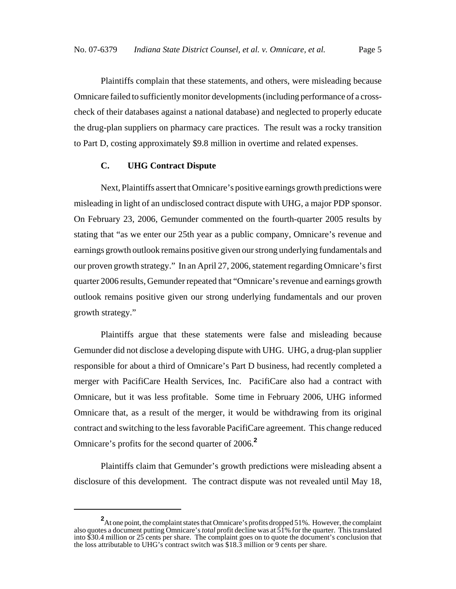Plaintiffs complain that these statements, and others, were misleading because Omnicare failed to sufficiently monitor developments (including performance of a crosscheck of their databases against a national database) and neglected to properly educate the drug-plan suppliers on pharmacy care practices. The result was a rocky transition to Part D, costing approximately \$9.8 million in overtime and related expenses.

# **C. UHG Contract Dispute**

Next, Plaintiffs assert that Omnicare's positive earnings growth predictions were misleading in light of an undisclosed contract dispute with UHG, a major PDP sponsor. On February 23, 2006, Gemunder commented on the fourth-quarter 2005 results by stating that "as we enter our 25th year as a public company, Omnicare's revenue and earnings growth outlook remains positive given our strong underlying fundamentals and our proven growth strategy." In an April 27, 2006, statement regarding Omnicare's first quarter 2006 results, Gemunder repeated that "Omnicare's revenue and earnings growth outlook remains positive given our strong underlying fundamentals and our proven growth strategy."

Plaintiffs argue that these statements were false and misleading because Gemunder did not disclose a developing dispute with UHG. UHG, a drug-plan supplier responsible for about a third of Omnicare's Part D business, had recently completed a merger with PacifiCare Health Services, Inc. PacifiCare also had a contract with Omnicare, but it was less profitable. Some time in February 2006, UHG informed Omnicare that, as a result of the merger, it would be withdrawing from its original contract and switching to the less favorable PacifiCare agreement. This change reduced Omnicare's profits for the second quarter of 2006.**<sup>2</sup>**

Plaintiffs claim that Gemunder's growth predictions were misleading absent a disclosure of this development. The contract dispute was not revealed until May 18,

<sup>&</sup>lt;sup>2</sup> At one point, the complaint states that Omnicare's profits dropped 51%. However, the complaint also quotes a document putting Omnicare's *total* profit decline was at 51% for the quarter. This translated into \$30.4 million or 25 cents per share. The complaint goes on to quote the document's conclusion that the loss attributable to UHG's contract switch was \$18.3 million or 9 cents per share.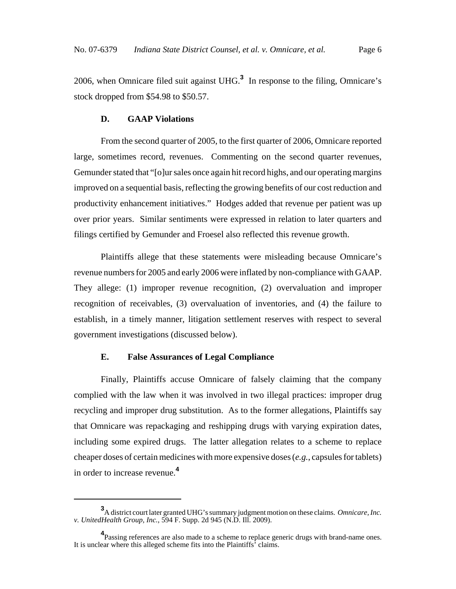2006, when Omnicare filed suit against UHG.**<sup>3</sup>** In response to the filing, Omnicare's stock dropped from \$54.98 to \$50.57.

## **D. GAAP Violations**

From the second quarter of 2005, to the first quarter of 2006, Omnicare reported large, sometimes record, revenues. Commenting on the second quarter revenues, Gemunder stated that "[o]ur sales once again hit record highs, and our operating margins improved on a sequential basis, reflecting the growing benefits of our cost reduction and productivity enhancement initiatives." Hodges added that revenue per patient was up over prior years. Similar sentiments were expressed in relation to later quarters and filings certified by Gemunder and Froesel also reflected this revenue growth.

Plaintiffs allege that these statements were misleading because Omnicare's revenue numbers for 2005 and early 2006 were inflated by non-compliance with GAAP. They allege: (1) improper revenue recognition, (2) overvaluation and improper recognition of receivables, (3) overvaluation of inventories, and (4) the failure to establish, in a timely manner, litigation settlement reserves with respect to several government investigations (discussed below).

## **E. False Assurances of Legal Compliance**

Finally, Plaintiffs accuse Omnicare of falsely claiming that the company complied with the law when it was involved in two illegal practices: improper drug recycling and improper drug substitution. As to the former allegations, Plaintiffs say that Omnicare was repackaging and reshipping drugs with varying expiration dates, including some expired drugs. The latter allegation relates to a scheme to replace cheaper doses of certain medicines with more expensive doses (*e.g.*, capsules for tablets) in order to increase revenue.**<sup>4</sup>**

**<sup>3</sup>** A district court later granted UHG's summary judgment motion on these claims. *Omnicare, Inc. v. UnitedHealth Group, Inc.*, 594 F. Supp. 2d 945 (N.D. Ill. 2009).

**<sup>4</sup>** Passing references are also made to a scheme to replace generic drugs with brand-name ones. It is unclear where this alleged scheme fits into the Plaintiffs' claims.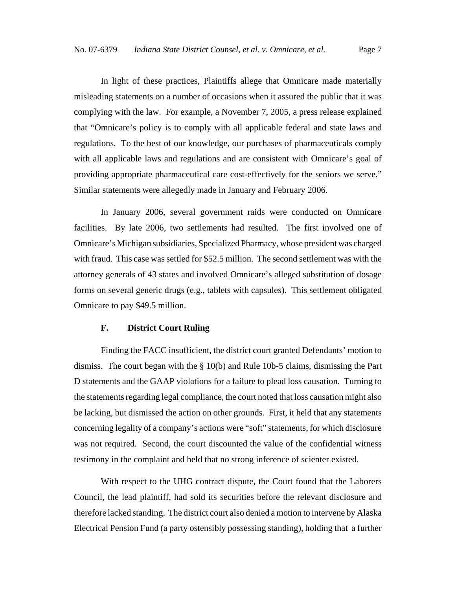In light of these practices, Plaintiffs allege that Omnicare made materially misleading statements on a number of occasions when it assured the public that it was complying with the law. For example, a November 7, 2005, a press release explained that "Omnicare's policy is to comply with all applicable federal and state laws and regulations. To the best of our knowledge, our purchases of pharmaceuticals comply with all applicable laws and regulations and are consistent with Omnicare's goal of providing appropriate pharmaceutical care cost-effectively for the seniors we serve." Similar statements were allegedly made in January and February 2006.

In January 2006, several government raids were conducted on Omnicare facilities. By late 2006, two settlements had resulted. The first involved one of Omnicare's Michigan subsidiaries, Specialized Pharmacy, whose president was charged with fraud. This case was settled for \$52.5 million. The second settlement was with the attorney generals of 43 states and involved Omnicare's alleged substitution of dosage forms on several generic drugs (e.g., tablets with capsules). This settlement obligated Omnicare to pay \$49.5 million.

## **F. District Court Ruling**

Finding the FACC insufficient, the district court granted Defendants' motion to dismiss. The court began with the § 10(b) and Rule 10b-5 claims, dismissing the Part D statements and the GAAP violations for a failure to plead loss causation. Turning to the statements regarding legal compliance, the court noted that loss causation might also be lacking, but dismissed the action on other grounds. First, it held that any statements concerning legality of a company's actions were "soft" statements, for which disclosure was not required. Second, the court discounted the value of the confidential witness testimony in the complaint and held that no strong inference of scienter existed.

With respect to the UHG contract dispute, the Court found that the Laborers Council, the lead plaintiff, had sold its securities before the relevant disclosure and therefore lacked standing. The district court also denied a motion to intervene by Alaska Electrical Pension Fund (a party ostensibly possessing standing), holding that a further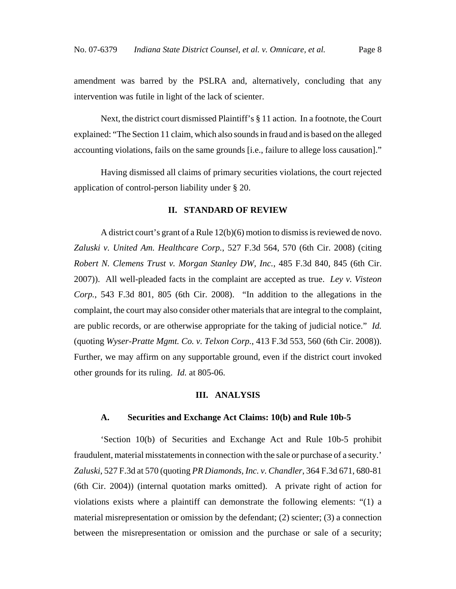amendment was barred by the PSLRA and, alternatively, concluding that any intervention was futile in light of the lack of scienter.

Next, the district court dismissed Plaintiff's § 11 action. In a footnote, the Court explained: "The Section 11 claim, which also sounds in fraud and is based on the alleged accounting violations, fails on the same grounds [i.e., failure to allege loss causation]."

Having dismissed all claims of primary securities violations, the court rejected application of control-person liability under § 20.

#### **II. STANDARD OF REVIEW**

A district court's grant of a Rule 12(b)(6) motion to dismiss is reviewed de novo. *Zaluski v. United Am. Healthcare Corp.*, 527 F.3d 564, 570 (6th Cir. 2008) (citing *Robert N. Clemens Trust v. Morgan Stanley DW, Inc.*, 485 F.3d 840, 845 (6th Cir. 2007)). All well-pleaded facts in the complaint are accepted as true. *Ley v. Visteon Corp.*, 543 F.3d 801, 805 (6th Cir. 2008). "In addition to the allegations in the complaint, the court may also consider other materials that are integral to the complaint, are public records, or are otherwise appropriate for the taking of judicial notice." *Id.* (quoting *Wyser-Pratte Mgmt. Co. v. Telxon Corp.*, 413 F.3d 553, 560 (6th Cir. 2008)). Further, we may affirm on any supportable ground, even if the district court invoked other grounds for its ruling. *Id.* at 805-06.

#### **III. ANALYSIS**

#### **A. Securities and Exchange Act Claims: 10(b) and Rule 10b-5**

'Section 10(b) of Securities and Exchange Act and Rule 10b-5 prohibit fraudulent, material misstatements in connection with the sale or purchase of a security.' *Zaluski*, 527 F.3d at 570 (quoting *PR Diamonds, Inc. v. Chandler*, 364 F.3d 671, 680-81 (6th Cir. 2004)) (internal quotation marks omitted). A private right of action for violations exists where a plaintiff can demonstrate the following elements: "(1) a material misrepresentation or omission by the defendant; (2) scienter; (3) a connection between the misrepresentation or omission and the purchase or sale of a security;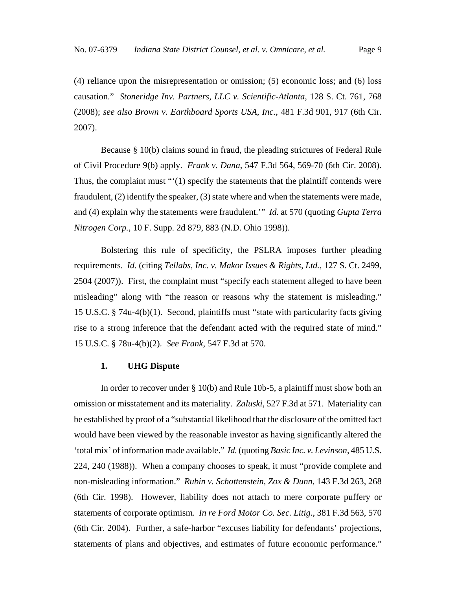(4) reliance upon the misrepresentation or omission; (5) economic loss; and (6) loss causation." *Stoneridge Inv. Partners, LLC v. Scientific-Atlanta*, 128 S. Ct. 761, 768 (2008); *see also Brown v. Earthboard Sports USA, Inc.*, 481 F.3d 901, 917 (6th Cir. 2007).

Because § 10(b) claims sound in fraud, the pleading strictures of Federal Rule of Civil Procedure 9(b) apply. *Frank v. Dana*, 547 F.3d 564, 569-70 (6th Cir. 2008). Thus, the complaint must "'(1) specify the statements that the plaintiff contends were fraudulent, (2) identify the speaker, (3) state where and when the statements were made, and (4) explain why the statements were fraudulent.'" *Id.* at 570 (quoting *Gupta Terra Nitrogen Corp.*, 10 F. Supp. 2d 879, 883 (N.D. Ohio 1998)).

Bolstering this rule of specificity, the PSLRA imposes further pleading requirements. *Id.* (citing *Tellabs, Inc. v. Makor Issues & Rights, Ltd.*, 127 S. Ct. 2499, 2504 (2007)). First, the complaint must "specify each statement alleged to have been misleading" along with "the reason or reasons why the statement is misleading." 15 U.S.C. § 74u-4(b)(1). Second, plaintiffs must "state with particularity facts giving rise to a strong inference that the defendant acted with the required state of mind." 15 U.S.C. § 78u-4(b)(2). *See Frank*, 547 F.3d at 570.

## **1. UHG Dispute**

In order to recover under § 10(b) and Rule 10b-5, a plaintiff must show both an omission or misstatement and its materiality. *Zaluski*, 527 F.3d at 571. Materiality can be established by proof of a "substantial likelihood that the disclosure of the omitted fact would have been viewed by the reasonable investor as having significantly altered the 'total mix' of information made available." *Id.* (quoting *Basic Inc. v. Levinson*, 485 U.S. 224, 240 (1988)). When a company chooses to speak, it must "provide complete and non-misleading information." *Rubin v. Schottenstein, Zox & Dunn*, 143 F.3d 263, 268 (6th Cir. 1998). However, liability does not attach to mere corporate puffery or statements of corporate optimism. *In re Ford Motor Co. Sec. Litig.*, 381 F.3d 563, 570 (6th Cir. 2004). Further, a safe-harbor "excuses liability for defendants' projections, statements of plans and objectives, and estimates of future economic performance."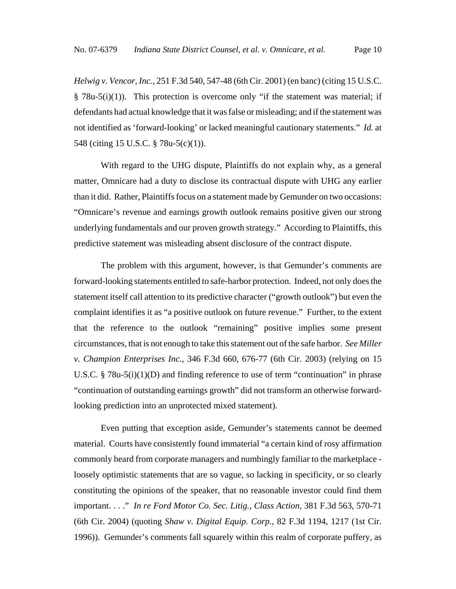*Helwig v. Vencor, Inc.*, 251 F.3d 540, 547-48 (6th Cir. 2001) (en banc) (citing 15 U.S.C.  $§$  78u-5(i)(1)). This protection is overcome only "if the statement was material; if defendants had actual knowledge that it was false or misleading; and if the statement was not identified as 'forward-looking' or lacked meaningful cautionary statements." *Id.* at 548 (citing 15 U.S.C. § 78u-5(c)(1)).

With regard to the UHG dispute, Plaintiffs do not explain why, as a general matter, Omnicare had a duty to disclose its contractual dispute with UHG any earlier than it did. Rather, Plaintiffs focus on a statement made by Gemunder on two occasions: "Omnicare's revenue and earnings growth outlook remains positive given our strong underlying fundamentals and our proven growth strategy." According to Plaintiffs, this predictive statement was misleading absent disclosure of the contract dispute.

The problem with this argument, however, is that Gemunder's comments are forward-looking statements entitled to safe-harbor protection. Indeed, not only does the statement itself call attention to its predictive character ("growth outlook") but even the complaint identifies it as "a positive outlook on future revenue." Further, to the extent that the reference to the outlook "remaining" positive implies some present circumstances, that is not enough to take this statement out of the safe harbor. *See Miller v. Champion Enterprises Inc.*, 346 F.3d 660, 676-77 (6th Cir. 2003) (relying on 15 U.S.C.  $\S 78u-5(i)(1)(D)$  and finding reference to use of term "continuation" in phrase "continuation of outstanding earnings growth" did not transform an otherwise forwardlooking prediction into an unprotected mixed statement).

Even putting that exception aside, Gemunder's statements cannot be deemed material. Courts have consistently found immaterial "a certain kind of rosy affirmation commonly heard from corporate managers and numbingly familiar to the marketplace loosely optimistic statements that are so vague, so lacking in specificity, or so clearly constituting the opinions of the speaker, that no reasonable investor could find them important. . . ." *In re Ford Motor Co. Sec. Litig., Class Action*, 381 F.3d 563, 570-71 (6th Cir. 2004) (quoting *Shaw v. Digital Equip. Corp.*, 82 F.3d 1194, 1217 (1st Cir. 1996)). Gemunder's comments fall squarely within this realm of corporate puffery, as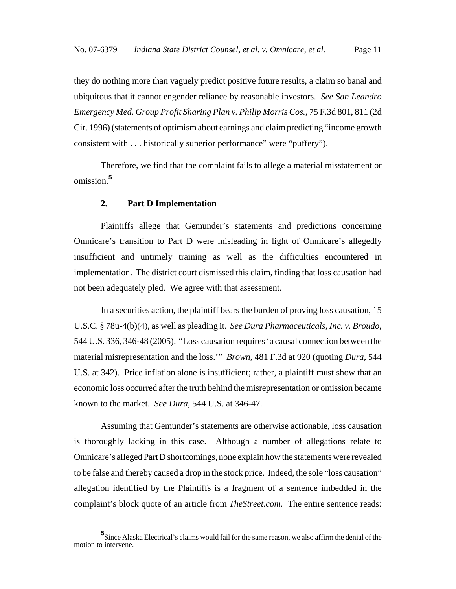they do nothing more than vaguely predict positive future results, a claim so banal and ubiquitous that it cannot engender reliance by reasonable investors. *See San Leandro Emergency Med. Group Profit Sharing Plan v. Philip Morris Cos.*, 75 F.3d 801, 811 (2d Cir. 1996) (statements of optimism about earnings and claim predicting "income growth consistent with . . . historically superior performance" were "puffery").

Therefore, we find that the complaint fails to allege a material misstatement or omission.**<sup>5</sup>**

#### **2. Part D Implementation**

Plaintiffs allege that Gemunder's statements and predictions concerning Omnicare's transition to Part D were misleading in light of Omnicare's allegedly insufficient and untimely training as well as the difficulties encountered in implementation. The district court dismissed this claim, finding that loss causation had not been adequately pled. We agree with that assessment.

In a securities action, the plaintiff bears the burden of proving loss causation, 15 U.S.C. § 78u-4(b)(4), as well as pleading it. *See Dura Pharmaceuticals, Inc. v. Broudo*, 544 U.S. 336, 346-48 (2005). "Loss causation requires 'a causal connection between the material misrepresentation and the loss.'" *Brown*, 481 F.3d at 920 (quoting *Dura*, 544 U.S. at 342). Price inflation alone is insufficient; rather, a plaintiff must show that an economic loss occurred after the truth behind the misrepresentation or omission became known to the market. *See Dura*, 544 U.S. at 346-47.

Assuming that Gemunder's statements are otherwise actionable, loss causation is thoroughly lacking in this case. Although a number of allegations relate to Omnicare's alleged Part D shortcomings, none explain how the statements were revealed to be false and thereby caused a drop in the stock price. Indeed, the sole "loss causation" allegation identified by the Plaintiffs is a fragment of a sentence imbedded in the complaint's block quote of an article from *TheStreet.com*. The entire sentence reads:

**<sup>5</sup>** Since Alaska Electrical's claims would fail for the same reason, we also affirm the denial of the motion to intervene.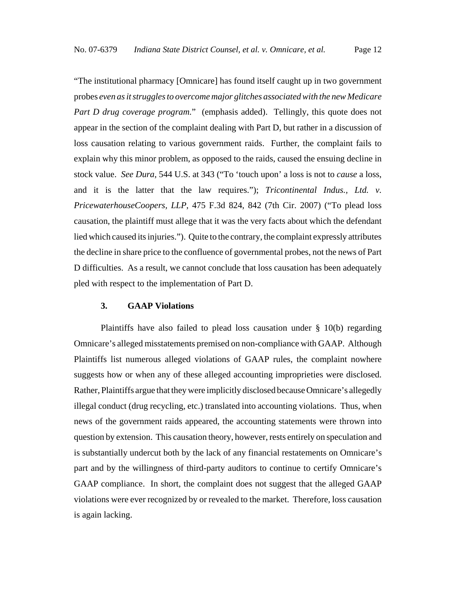"The institutional pharmacy [Omnicare] has found itself caught up in two government probes *even as it struggles to overcome major glitches associated with the new Medicare Part D drug coverage program.*" (emphasis added). Tellingly, this quote does not appear in the section of the complaint dealing with Part D, but rather in a discussion of loss causation relating to various government raids. Further, the complaint fails to explain why this minor problem, as opposed to the raids, caused the ensuing decline in stock value. *See Dura*, 544 U.S. at 343 ("To 'touch upon' a loss is not to *cause* a loss, and it is the latter that the law requires."); *Tricontinental Indus., Ltd. v. PricewaterhouseCoopers, LLP*, 475 F.3d 824, 842 (7th Cir. 2007) ("To plead loss causation, the plaintiff must allege that it was the very facts about which the defendant lied which caused its injuries."). Quite to the contrary, the complaint expressly attributes the decline in share price to the confluence of governmental probes, not the news of Part D difficulties. As a result, we cannot conclude that loss causation has been adequately pled with respect to the implementation of Part D.

# **3. GAAP Violations**

Plaintiffs have also failed to plead loss causation under § 10(b) regarding Omnicare's alleged misstatements premised on non-compliance with GAAP. Although Plaintiffs list numerous alleged violations of GAAP rules, the complaint nowhere suggests how or when any of these alleged accounting improprieties were disclosed. Rather, Plaintiffs argue that they were implicitly disclosed because Omnicare's allegedly illegal conduct (drug recycling, etc.) translated into accounting violations. Thus, when news of the government raids appeared, the accounting statements were thrown into question by extension. This causation theory, however, rests entirely on speculation and is substantially undercut both by the lack of any financial restatements on Omnicare's part and by the willingness of third-party auditors to continue to certify Omnicare's GAAP compliance. In short, the complaint does not suggest that the alleged GAAP violations were ever recognized by or revealed to the market. Therefore, loss causation is again lacking.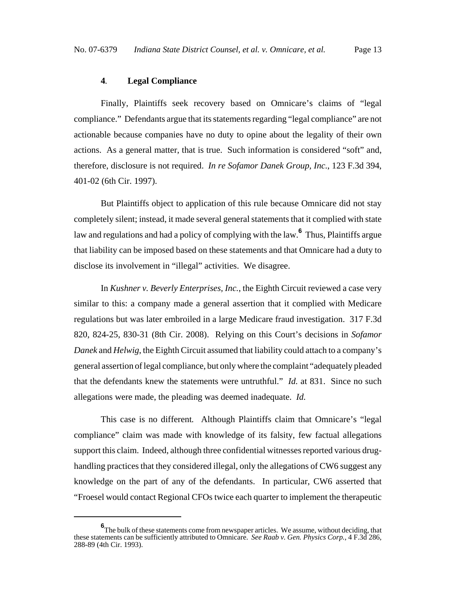#### **4***.* **Legal Compliance**

Finally, Plaintiffs seek recovery based on Omnicare's claims of "legal compliance." Defendants argue that its statements regarding "legal compliance" are not actionable because companies have no duty to opine about the legality of their own actions. As a general matter, that is true. Such information is considered "soft" and, therefore, disclosure is not required. *In re Sofamor Danek Group, Inc.*, 123 F.3d 394, 401-02 (6th Cir. 1997).

But Plaintiffs object to application of this rule because Omnicare did not stay completely silent; instead, it made several general statements that it complied with state law and regulations and had a policy of complying with the law.**<sup>6</sup>** Thus, Plaintiffs argue that liability can be imposed based on these statements and that Omnicare had a duty to disclose its involvement in "illegal" activities. We disagree.

In *Kushner v. Beverly Enterprises, Inc.*, the Eighth Circuit reviewed a case very similar to this: a company made a general assertion that it complied with Medicare regulations but was later embroiled in a large Medicare fraud investigation. 317 F.3d 820, 824-25, 830-31 (8th Cir. 2008). Relying on this Court's decisions in *Sofamor Danek* and *Helwig*, the Eighth Circuit assumed that liability could attach to a company's general assertion of legal compliance, but only where the complaint "adequately pleaded that the defendants knew the statements were untruthful." *Id.* at 831. Since no such allegations were made, the pleading was deemed inadequate. *Id.*

This case is no different*.* Although Plaintiffs claim that Omnicare's "legal compliance" claim was made with knowledge of its falsity, few factual allegations support this claim. Indeed, although three confidential witnesses reported various drughandling practices that they considered illegal, only the allegations of CW6 suggest any knowledge on the part of any of the defendants. In particular, CW6 asserted that "Froesel would contact Regional CFOs twice each quarter to implement the therapeutic

**<sup>6</sup>** The bulk of these statements come from newspaper articles. We assume, without deciding, that these statements can be sufficiently attributed to Omnicare. *See Raab v. Gen. Physics Corp.*, 4 F.3d 286, 288-89 (4th Cir. 1993).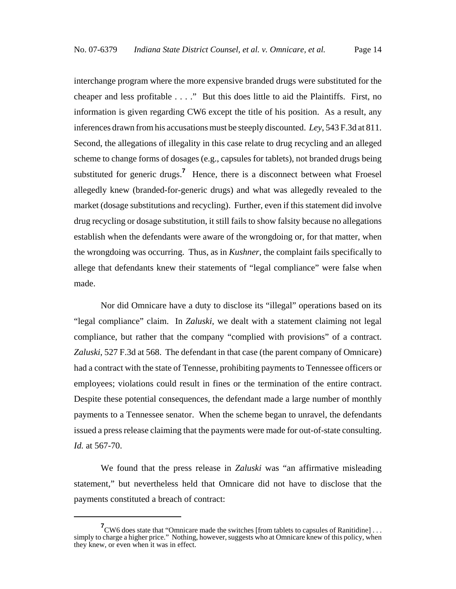interchange program where the more expensive branded drugs were substituted for the cheaper and less profitable . . . ." But this does little to aid the Plaintiffs. First, no information is given regarding CW6 except the title of his position. As a result, any inferences drawn from his accusations must be steeply discounted. *Ley*, 543 F.3d at 811. Second, the allegations of illegality in this case relate to drug recycling and an alleged scheme to change forms of dosages (e.g., capsules for tablets), not branded drugs being substituted for generic drugs.<sup>7</sup> Hence, there is a disconnect between what Froesel allegedly knew (branded-for-generic drugs) and what was allegedly revealed to the market (dosage substitutions and recycling). Further, even if this statement did involve drug recycling or dosage substitution, it still fails to show falsity because no allegations establish when the defendants were aware of the wrongdoing or, for that matter, when the wrongdoing was occurring. Thus, as in *Kushner*, the complaint fails specifically to allege that defendants knew their statements of "legal compliance" were false when made.

Nor did Omnicare have a duty to disclose its "illegal" operations based on its "legal compliance" claim. In *Zaluski*, we dealt with a statement claiming not legal compliance, but rather that the company "complied with provisions" of a contract. *Zaluski*, 527 F.3d at 568. The defendant in that case (the parent company of Omnicare) had a contract with the state of Tennesse, prohibiting payments to Tennessee officers or employees; violations could result in fines or the termination of the entire contract. Despite these potential consequences, the defendant made a large number of monthly payments to a Tennessee senator. When the scheme began to unravel, the defendants issued a press release claiming that the payments were made for out-of-state consulting. *Id.* at 567-70.

We found that the press release in *Zaluski* was "an affirmative misleading statement," but nevertheless held that Omnicare did not have to disclose that the payments constituted a breach of contract:

**<sup>7</sup>** CW6 does state that "Omnicare made the switches [from tablets to capsules of Ranitidine] . . . simply to charge a higher price." Nothing, however, suggests who at Omnicare knew of this policy, when they knew, or even when it was in effect.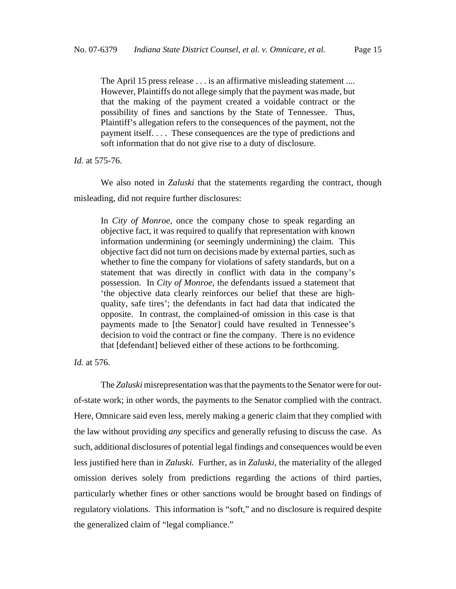The April 15 press release . . . is an affirmative misleading statement .... However, Plaintiffs do not allege simply that the payment was made, but that the making of the payment created a voidable contract or the possibility of fines and sanctions by the State of Tennessee. Thus, Plaintiff's allegation refers to the consequences of the payment, not the payment itself. . . . These consequences are the type of predictions and soft information that do not give rise to a duty of disclosure.

*Id.* at 575-76.

We also noted in *Zaluski* that the statements regarding the contract, though misleading, did not require further disclosures:

In *City of Monroe*, once the company chose to speak regarding an objective fact, it was required to qualify that representation with known information undermining (or seemingly undermining) the claim. This objective fact did not turn on decisions made by external parties, such as whether to fine the company for violations of safety standards, but on a statement that was directly in conflict with data in the company's possession. In *City of Monroe*, the defendants issued a statement that 'the objective data clearly reinforces our belief that these are highquality, safe tires'; the defendants in fact had data that indicated the opposite. In contrast, the complained-of omission in this case is that payments made to [the Senator] could have resulted in Tennessee's decision to void the contract or fine the company. There is no evidence that [defendant] believed either of these actions to be forthcoming.

*Id.* at 576.

The *Zaluski* misrepresentation was that the payments to the Senator were for outof-state work; in other words, the payments to the Senator complied with the contract. Here, Omnicare said even less, merely making a generic claim that they complied with the law without providing *any* specifics and generally refusing to discuss the case. As such, additional disclosures of potential legal findings and consequences would be even less justified here than in *Zaluski.* Further, as in *Zaluski*, the materiality of the alleged omission derives solely from predictions regarding the actions of third parties, particularly whether fines or other sanctions would be brought based on findings of regulatory violations. This information is "soft," and no disclosure is required despite the generalized claim of "legal compliance."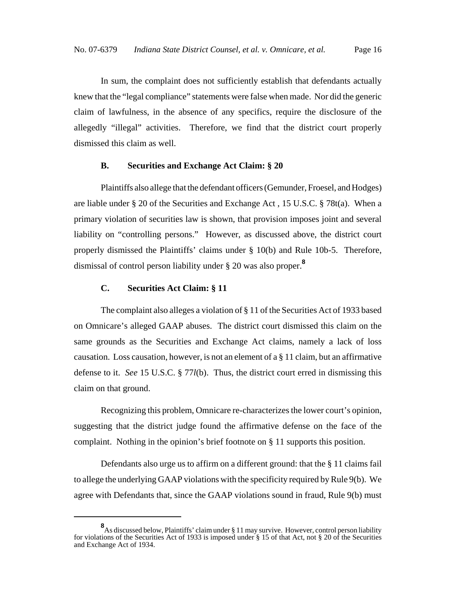In sum, the complaint does not sufficiently establish that defendants actually knew that the "legal compliance" statements were false when made. Nor did the generic claim of lawfulness, in the absence of any specifics, require the disclosure of the allegedly "illegal" activities. Therefore, we find that the district court properly dismissed this claim as well.

## **B. Securities and Exchange Act Claim: § 20**

Plaintiffs also allege that the defendant officers (Gemunder, Froesel, and Hodges) are liable under § 20 of the Securities and Exchange Act , 15 U.S.C. § 78t(a). When a primary violation of securities law is shown, that provision imposes joint and several liability on "controlling persons." However, as discussed above, the district court properly dismissed the Plaintiffs' claims under § 10(b) and Rule 10b-5. Therefore, dismissal of control person liability under § 20 was also proper.**<sup>8</sup>**

# **C. Securities Act Claim: § 11**

The complaint also alleges a violation of § 11 of the Securities Act of 1933 based on Omnicare's alleged GAAP abuses. The district court dismissed this claim on the same grounds as the Securities and Exchange Act claims, namely a lack of loss causation. Loss causation, however, is not an element of a  $\S 11$  claim, but an affirmative defense to it. *See* 15 U.S.C. § 77*l*(b). Thus, the district court erred in dismissing this claim on that ground.

Recognizing this problem, Omnicare re-characterizes the lower court's opinion, suggesting that the district judge found the affirmative defense on the face of the complaint. Nothing in the opinion's brief footnote on § 11 supports this position.

Defendants also urge us to affirm on a different ground: that the § 11 claims fail to allege the underlying GAAP violations with the specificity required by Rule 9(b). We agree with Defendants that, since the GAAP violations sound in fraud, Rule 9(b) must

**<sup>8</sup>** As discussed below, Plaintiffs' claim under § 11 may survive. However, control person liability for violations of the Securities Act of 1933 is imposed under § 15 of that Act, not § 20 of the Securities and Exchange Act of 1934.